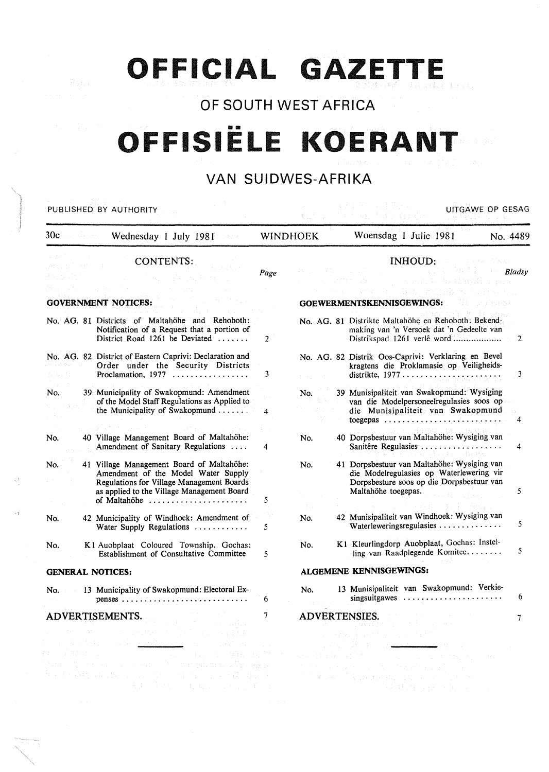# **OFFICIAL GAZETTE**

# **OF SOUTH WEST AFRICA**

# •• **OFFISIELE KOERANT**

# **VAN SUIDWES-AFRIKA**

| PUBLISHED BY AUTHORITY                                                                                                                                                                                                                                                                                                                                                                                                                                                                                                                                                |                |                 | UITGAWE OP GESAG                                                                                                                                                                                                                                                                                                                                                                                                                                                                                        |                |
|-----------------------------------------------------------------------------------------------------------------------------------------------------------------------------------------------------------------------------------------------------------------------------------------------------------------------------------------------------------------------------------------------------------------------------------------------------------------------------------------------------------------------------------------------------------------------|----------------|-----------------|---------------------------------------------------------------------------------------------------------------------------------------------------------------------------------------------------------------------------------------------------------------------------------------------------------------------------------------------------------------------------------------------------------------------------------------------------------------------------------------------------------|----------------|
| 30c<br>Wednesday 1 July 1981<br>冷水学                                                                                                                                                                                                                                                                                                                                                                                                                                                                                                                                   |                | <b>WINDHOEK</b> | Woensdag 1 Julie 1981<br>No. 4489                                                                                                                                                                                                                                                                                                                                                                                                                                                                       |                |
| <b>CONTENTS:</b><br><b>GOVERNMENT NOTICES:</b>                                                                                                                                                                                                                                                                                                                                                                                                                                                                                                                        | Page           |                 | INHOUD:<br><b>Constantinople</b><br>$\mathcal{L}^{\text{max}}_{\text{max}}$ and $\mathcal{L}^{\text{max}}_{\text{max}}$<br>Bladsy<br>a sunt be shaped.<br>bus millerb<br>GOEWERMENTSKENNISGEWINGS:                                                                                                                                                                                                                                                                                                      |                |
| No. AG. 81 Districts of Maltahöhe and Rehoboth:<br>Notification of a Request that a portion of<br>District Road 1261 be Deviated $\ldots$ .                                                                                                                                                                                                                                                                                                                                                                                                                           | $\overline{2}$ |                 | No. AG. 81 Distrikte Maltahöhe en Rehoboth: Bekend-<br>making van 'n Versoek dat 'n Gedeelte van<br>Distrikspad 1261 verlê word                                                                                                                                                                                                                                                                                                                                                                         | $\overline{2}$ |
| No. AG. 82 District of Eastern Caprivi: Declaration and<br>Order under the Security Districts                                                                                                                                                                                                                                                                                                                                                                                                                                                                         | 3              |                 | No. AG. 82 Distrik Oos-Caprivi: Verklaring en Bevel<br>kragtens die Proklamasie op Veiligheids-                                                                                                                                                                                                                                                                                                                                                                                                         | 3              |
| 39 Municipality of Swakopmund: Amendment<br>No.<br>of the Model Staff Regulations as Applied to<br>the Municipality of Swakopmund                                                                                                                                                                                                                                                                                                                                                                                                                                     | 4              | No.             | 39 Munisipaliteit van Swakopmund: Wysiging<br>van die Modelpersoneelregulasies soos op<br>die Munisipaliteit van Swakopmund                                                                                                                                                                                                                                                                                                                                                                             | 4              |
| 40 Village Management Board of Maltahöhe:<br>No.<br>Amendment of Sanitary Regulations                                                                                                                                                                                                                                                                                                                                                                                                                                                                                 | 4              | No.             | 40 Dorpsbestuur van Maltahöhe: Wysiging van<br>Sanitêre Regulasies<br>医耳聋 医心包膜炎 建硫酸盐                                                                                                                                                                                                                                                                                                                                                                                                                    | 4              |
| 41 Village Management Board of Maltahöhe:<br>No.<br>Amendment of the Model Water Supply<br>Regulations for Village Management Boards<br>as applied to the Village Management Board                                                                                                                                                                                                                                                                                                                                                                                    | 5              | No.             | 41 Dorpsbestuur van Maltahöhe: Wysiging van<br>die Modelregulasies op Waterlewering vir<br>Dorpsbesture soos op die Dorpsbestuur van<br>Maltahöhe toegepas.                                                                                                                                                                                                                                                                                                                                             | 5              |
| 42 Municipality of Windhoek: Amendment of<br>No.<br>Water Supply Regulations                                                                                                                                                                                                                                                                                                                                                                                                                                                                                          | 5              | No.             | 42 Munisipaliteit van Windhoek: Wysiging van<br>Waterleweringsregulasies                                                                                                                                                                                                                                                                                                                                                                                                                                | 5              |
| K1 Auobplaat Coloured Township, Gochas:<br>No.<br>Establishment of Consultative Committee                                                                                                                                                                                                                                                                                                                                                                                                                                                                             | 5              | No.             | K1 Kleurlingdorp Auobplaat, Gochas: Instel-<br>ling van Raadplegende Komitee                                                                                                                                                                                                                                                                                                                                                                                                                            | 5              |
| <b>GENERAL NOTICES:</b>                                                                                                                                                                                                                                                                                                                                                                                                                                                                                                                                               |                |                 | ALGEMENE KENNISGEWINGS:                                                                                                                                                                                                                                                                                                                                                                                                                                                                                 |                |
| 13 Municipality of Swakopmund: Electoral Ex-<br>No.                                                                                                                                                                                                                                                                                                                                                                                                                                                                                                                   | 6              | No.             | 13 Munisipaliteit van Swakopmund: Verkie-<br>singsuitgawes $\ldots$ ,                                                                                                                                                                                                                                                                                                                                                                                                                                   | 6              |
| ADVERTISEMENTS.<br>$\label{eq:2.1} \alpha_{\rm{eff}} = 2 \lambda \epsilon_{\rm{eff}} = 3 \lambda_{\rm{eff}} = 1.5 \times 10^{14} \, \mathrm{Mpc}^{-1} \, \mathrm{cm}^{-2} \, \mathrm{cm}^{-2} \, \mathrm{cm}^{-2} \, \mathrm{cm}^{-2} \, \mathrm{cm}^{-2} \, \mathrm{Mpc}^{-1}$<br>the control of the control <u>material com-</u><br>그 작가의 그리고<br>$\label{eq:triv} \mathcal{L}(\Sigma) = \mathcal{L}^2(\Sigma) \cdot \mathcal{L}^2(\Sigma)$<br>War in the second company of the marged manufacturing show<br>the finally dealer and service in the control operation | $\tau$         |                 | ADVERTENSIES.<br><u>SAN DI WILDO.</u><br>SEMBENT SEMBENT SEMBENT SEMBENT SEMBENT SEMBENT SEMBENT SEMBENT SEMBENT SEMBENT SEMBENT SEMBENT SEMBENT SEMBEN<br>エー・ピング アイバル しょうかいかく<br>握り スペーパー アール<br>$\label{eq:R1} \mathcal{L}(\mathcal{F}) = \left\{ \mathcal{L}(\mathcal{F}, \mathcal{L}) \in \mathcal{L}^{\mathcal{F}}_{\mathcal{F}}(\mathcal{F}) \right\} \subset \mathcal{L}^{\mathcal{F}}(\mathcal{F})$<br>and the state of the state of the state<br>that the property of the terrible problems of | 7.             |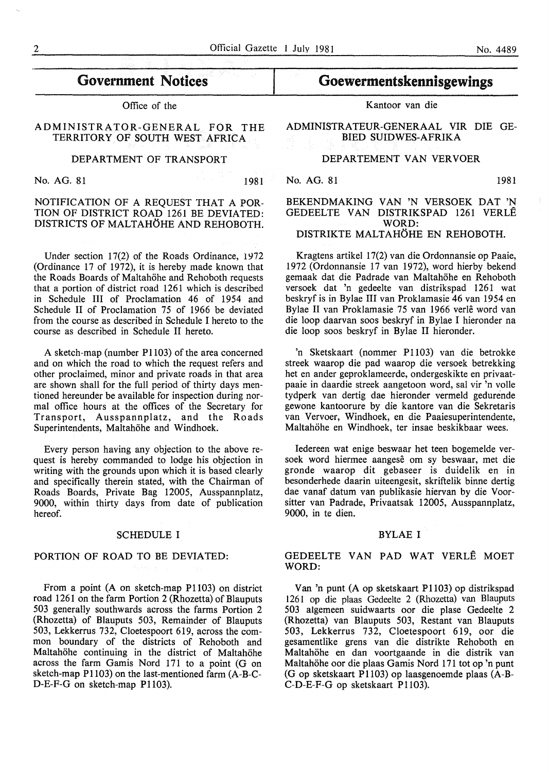# Government Notices

Office of the

ADMINISTRATOR-GENERAL FOR THE TERRITORY OF SOUTH WEST AFRICA

### DEPARTMENT OF TRANSPORT

No. AG. 81 1981

### NOTIFICATION OF A REQUEST THAT A POR-TION OF DISTRICT ROAD 1261 BE DEVIATED: DISTRICTS OF MALTAHOHE AND REHOBOTH.

Under section 17(2) of the Roads Ordinance, 1972 (Ordinance 17 of 1972), it is hereby made known that the Roads Boards of Maltahöhe and Rehoboth requests that a portion of district road 1261 which is described in Schedule III of Proclamation 46 of 1954 and Schedule II of Proclamation 75 of 1966 be deviated from the course as described in Schedule I hereto to the course as described in Schedule II hereto.

A sketch-map (number P1103) of the area concerned and on which the road to which the request refers and other proclaimed, minor and private roads in that area are shown shall for the full period of thirty days mentioned hereunder be available for inspection during normal office hours at the offices of the Secretary for Transport, Ausspannplatz, and the Roads Superintendents, Maltahöhe and Windhoek.

Every person having any objection to the above request is hereby commanded to lodge his objection in writing with the grounds upon which it is based clearly and specifically therein stated, with the Chairman of Roads Boards, Private Bag 12005, Ausspannplatz, 9000, within thirty days from date of publication hereof.

#### SCHEDULE I

#### PORTION OF ROAD TO BE DEVIATED:

From a point (A on sketch-map Pl103) on district road 1261 on the farm Portion 2 (Rhozetta) of Blauputs 503 generally southwards across the farms Portion 2 (Rhozetta) of Blauputs 503, Remainder of Blauputs 503, Lekkerrus 732, Cloetespoort 619, across the common boundary of the districts of Rehoboth and Maltahöhe continuing in the district of Maltahöhe across the farm Gamis Nord 171 to a point (G on sketch-map P1103) on the last-mentioned farm (A-B-C-D-E-F-G on sketch-map P1103).

# Goewermentskennisgewings

Kantoor van die

ADMINISTRATEUR-GENERAAL VIR DIE GE-BIED SUIDWES-AFRIKA

### DEPARTEMENT VAN VERVOER

No. AG. 81 1981

#### BEKENDMAKING VAN 'N VERSOEK DAT 'N GEDEELTE VAN DISTRIKSPAD 1261 VERLE WORD: DISTRIKTE MALTAHÖHE EN REHOBOTH.

Kragtens artikel 17(2) van die Ordonnansie op Paaie, 1972 (Ordonnansie 17 van 1972), word hierby bekend gemaak dat die Padrade van Maltahöhe en Rehoboth versoek dat 'n gedeelte van distrikspad 1261 wat beskryf is in Bylae III van Proklamasie 46 van 1954 en Bylae II van Proklamasie 75 van 1966 verle word van die loop daarvan soos beskryf in Bylae I hieronder na die loop soos beskryf in Bylae II hieronder.

'n Sketskaart (nommer P1103) van die betrokke streek waarop die pad waarop die versoek betrekking het en ander geproklameerde, ondergeskikte en privaatpaaie in daardie streek aangetoon word, sal vir 'n volle tydperk van dertig dae hieronder vermeld gedurende gewone kantoorure by die kantore van die Sekretaris van Vervoer, Windhoek, en die Paaiesuperintendente, Maltahöhe en Windhoek, ter insae beskikbaar wees.

Iedereen wat enige beswaar het teen bogemelde versoek word hiermee aangese om sy beswaar, met die gronde waarop dit gebaseer is duidelik en in besonderhede daarin uiteengesit, skriftelik binne dertig dae vanaf datum van publikasie hiervan by die Voorsitter van Padrade, Privaatsak 12005, Ausspannplatz, 9000, in te dien.

#### BYLAE I

### GEDEELTE VAN PAD WAT VERLE MOET WORD:

Van 'n punt (A op sketskaart P1103) op distrikspad 1261 op die plaas Gedeelte 2 (Rhozetta) van Blauputs 503 algemeen suidwaarts oor die plase Gedeelte 2 (Rhozetta) van Blauputs 503, Restant van Blauputs 503, Lekkerrus 732, Cloetespoort 619, oor die gesamentlike grens van die distrikte Rehoboth en Maltahohe en dan voortgaande in die distrik van Maltahöhe oor die plaas Gamis Nord 171 tot op 'n punt (Gop sketskaart P1103) op laasgenoemde plaas (A-B-C-D-E-F-G op sketskaart P1103).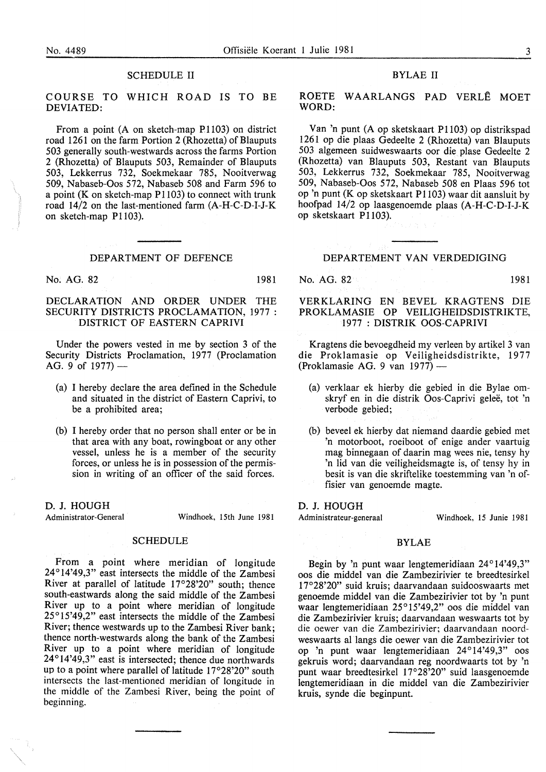#### SCHEDULE II

COURSE TO WHICH ROAD IS TO BE DEVIATED:

From a point (A on sketch-map P1103) on district road 1261 on the farm Portion 2 (Rhozetta) of Blauputs 503 generally south-westwards across the farms Portion 2 (Rhozetta) of Blauputs 503, Remainder of Blauputs 503, Lekkerrus 732, Soekmekaar 785, Nooitverwag 509, Nabaseb-Oos 572, Nabaseb 508 and Farm 596 to a point (K on sketch-map  $P1103$ ) to connect with trunk road 14/2 on the last-mentioned farm (A-H-C-D-I-J-K on sketch-map P1103).

#### DEPARTMENT OF DEFENCE

No. AG. 82 1981

#### DECLARATION AND ORDER UNDER THE SECURITY DISTRICTS PROCLAMATION, 1977: DISTRICT OF EASTERN CAPRIVI

Under the powers vested in me by section 3 of the Security Districts Proclamation, 1977 (Proclamation AG. 9 of  $1977$ ) —

- (a) I hereby declare the area defined in the Schedule and situated in the district of Eastern Caprivi, to be a prohibited area;
- (b) I hereby order that no person shall enter or be in that area with any boat, rowingboat or any other vessel, unless he is a member of the security forces, or unless he is in possession of the permission in writing of an officer of the said forces.

D. J. HOUGH

Administrator-General Windhoek, 15th June 1981

#### SCHEDULE

From a point where meridian of longitude 24°14'49,3" east intersects the middle of the Zambesi River at parallel of latitude 17°28'20" south; thence south-eastwards along the said middle of the Zambesi River up to a point where meridian of longitude 25°15'49,2" east intersects the middle of the Zambesi River; thence westwards up to the Zambesi River bank; thence north-westwards along the bank of the Zambesi River up to a point where meridian of longitude 24°14'49,3" east is intersected; thence due northwards up to a point where parallel of latitude 17°28'20" south intersects the last-mentioned meridian of longitude in the middle of the Zambesi River, being the point of beginning.

#### BYLAE II

ROETE WAARLANGS PAD VERLE MOET WORD:

Van 'n punt (A op sketskaart P1103) op distrikspad 1261 op die plaas Gedeelte 2 (Rhozetta) van Blauputs 503 algemeen suidweswaarts oor die plase Gedeelte 2 (Rhozetta) van Blauputs 503, Restant van Blauputs 503, Lekkerrus 732, Soekmekaar 785, Nooitverwag 509, Nabaseb-Oos 572, Nabaseb 508 en Plaas 596 tot op 'n punt (K op sketskaart Pll03) waar dit aansluit by hoofpad 14/2 op laasgenoemde plaas (A-H-C-D-I-J-K op sketskaart P1103).

#### DEPARTEMENT VAN VERDEDIGING

No. AG. 82 1981

#### VERKLARING EN BEVEL KRAGTENS DIE PROKLAMASIE OP VEILIGHEIDSDISTRIKTE, 1977 : DISTRIK OOS-CAPRIVI

Kragtens die bevoegdheid my verleen by artikel 3 van die Proklamasie op Veiligheidsdistrikte, 1977 (Proklamasie AG. 9 van 1977) -

- (a) verklaar ek hierby die gebied in die Bylae omskryf en in die distrik Oos-Caprivi gelee, tot 'n verbode gebied;
- (b) beveel ek hierby dat niemand daardie gebied met 'n motorboot, roeiboot of enige ander vaartuig mag binnegaan of daarin mag wees nie, tensy hy 'n lid van die veiligheidsmagte is, of tensy hy in besit is van die skriftelike toestemming van 'n offisier van genoemde magte.

#### D. J. HOUGH

Administrateur-generaal Windhoek, 15 Junie 1981

#### BYLAE

Begin by 'n punt waar lengtemeridiaan 24°14'49,3" oos die middel van die Zambezirivier te breedtesirkel 17°28'20" suid kruis; daarvandaan suidooswaarts met genoemde middel van die Zambezirivier tot by 'n punt waar lengtemeridiaan 25°15'49,2" oos die middel van die Zambezirivier kruis; daarvandaan weswaarts tot by die oewer van die Zambezirivier; daarvandaan noordweswaarts al langs die oewer van die Zambezirivier tot op 'n punt waar lengtemeridiaan 24°14'49,3" oos gekruis word; daarvandaan reg noordwaarts tot by 'n punt waar breedtesirkel 17°28'20" suid laasgenoemde lengtemeridiaan in die middel van die Zambezirivier kruis, synde die beginpunt.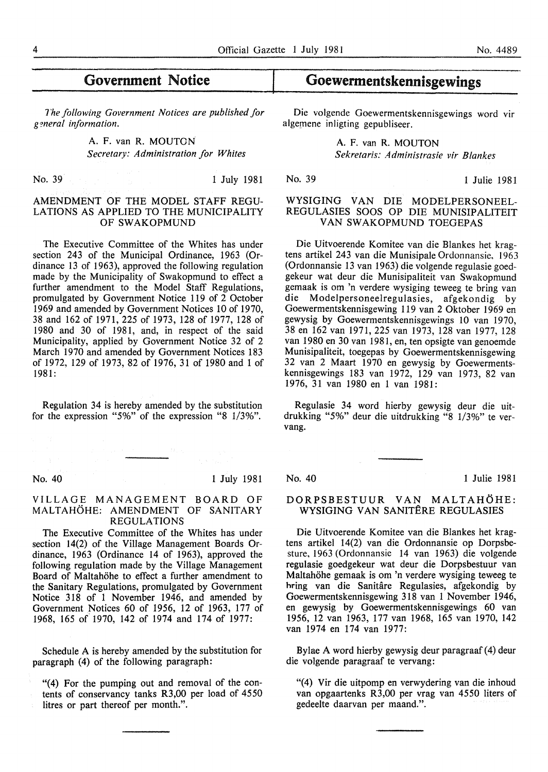# Government Notice

*1'he following Government Notices are published for g?neral information.* 

> A. F. van R. MOUTON *Secretary: Administration for Whites*

No. 39 1 July 1981

### AMENDMENT OF THE MODEL STAFF REGU-LATIONS AS APPLIED TO THE MUNICIPALITY OF SWAKOPMUND

The Executive Committee of the Whites has under section 243 of the Municipal Ordinance, 1963 (Ordinance 13 of 1963), approved the following regulation made by the Municipality of Swakopmund to effect a further amendment to the Model Staff Regulations, promulgated by Government Notice 119 of 2 October 1969 and amended by Government Notices 10 of 1970, 38 and 162 of 1971, 225 of 1973, 128 of 1977, 128 of 1980 and 30 of 1981, and, in respect of the said Municipality, applied by Government Notice 32 of 2 March 1970 and amended by Government Notices 183 of 1972, 129 of 1973, 82 of 1976, 31 of 1980 and 1 of 1981:

Regulation 34 is hereby amended by the substitution for the expression "5%" of the expression "8 1/3%".

#### No. 40 1 July 1981

#### VILLAGE MANAGEMENT BOARD OF MALTAHÖHE: AMENDMENT OF SANITARY REGULATIONS

The Executive Committee of the Whites has under section 14(2) of the Village Management Boards Ordinance, 1963 (Ordinance 14 of 1963), approved the following regulation made by the Village Management Board of Maltahöhe to effect a further amendment to the Sanitary Regulations, promulgated by Government Notice 318 of 1 November 1946, and amended by Government Notices 60 of 1956, 12 of 1963, 177 of 1968, 165 of 1970, 142 of 1974 and 174 of 1977:

Schedule A is hereby amended by the substitution for paragraph (4) of the following paragraph:

"(4) For the pumping out and removal of the contents of conservancy tanks R3,00 per load of 4550 litres or part thereof per month.".

# Goewermentskennisgewings

Die volgende Goewermentskennisgewings word vir algemene inligting gepubliseer.

> A. F. van R. MOUTON *Sekretaris: Administrasie vir Blankes*

No. 39 1 Julie 1981

#### WYSIGING VAN DIE MODELPERSONEEL-REGULASIES SOOS OP DIE MUNISIPALITEIT VAN SWAKOPMUND TOEGEPAS

Die Uitvoerende Komitee van die Blankes het kragtens artikel 243 van die Munisipale Ordonnansie, 1963 (Ordonnansie 13 van 1963) die volgende regulasie goedgekeur wat deur die Munisipaliteit van Swakopmund gemaak is om 'n verdere wysiging teweeg te bring van die Modelpersoneelregulasies, afgekondig by Goewermentskennisgewing 119 van 2 Oktober 1969 en gewysig by Goewermentskennisgewings 10 van 1970, 38 en 162 van 1971, 225 van 1973, 128 van 1977, 128 van 1980 en 30 van 1981, en, ten opsigte van genoemde Munisipaliteit, toegepas by Goewermentskennisgewing 32 van 2 Maart 1970 en gewysig by Goewermentskennisgewings 183 van 1972, 129 van 1973, 82 van 1976, 31 van 1980 en 1 van 1981:

Regulasie 34 word hierby gewysig deur die uitdrukking "5%" deur die uitdrukking "8 1/3%" te vervang.

No. 40 1 Julie 1981

#### DORPSBESTUUR VAN MALTAHÖHE: WYSIGING VAN SANITERE REGULASIES

Die Uitvoerende Komitee van die Blankes het kragtens artikel 14(2) van die Ordonnansie op Dorpsbesture, 1963 (Ordonnansie 14 van 1963) die volgende regulasie goedgekeur wat deur die Dorpsbestuur van Maltahohe gemaak is om 'n verdere wysiging teweeg te hring van die Sanitâre Regulasies, afgekondig by Goewermentskennisgewing 318 van 1 November 1946, en gewysig by Goewermentskennisgewings 60 van 1956, 12 van 1963, 177 van 1968, 165 van 1970, 142 van 1974 en 174 van 1977:

Bylae A word hierby gewysig deur paragraaf (4) deur die volgende paragraaf te vervang:

"(4) Vir die uitpomp en verwydering van die inhoud van opgaartenks R3,00 per vrag van 4550 liters of gedeelte daarvan per maand.".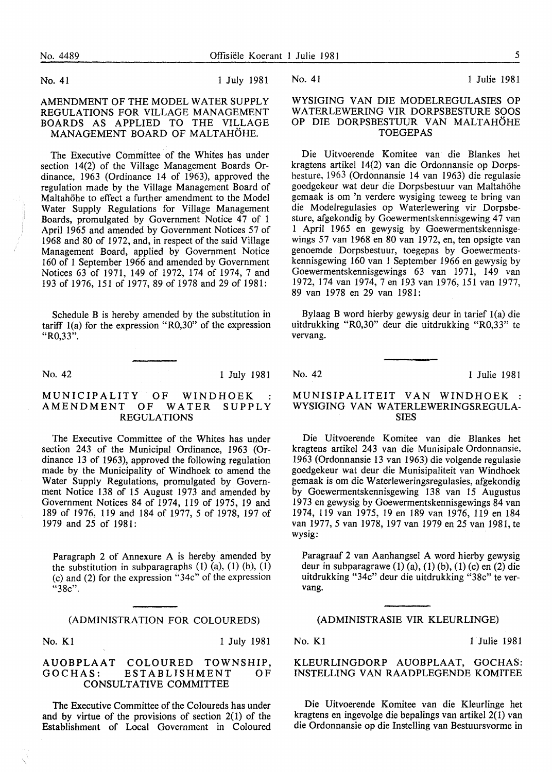No. 41 1 July 1981

AMENDMENT OF THE MODEL WATER SUPPLY REGULATIONS FOR VILLAGE MANAGEMENT BOARDS AS APPLIED TO THE VILLAGE MANAGEMENT BOARD OF MALTAHÖHE.

The Executive Committee of the Whites has under section 14(2) of the Village Management Boards Ordinance, 1963 (Ordinance 14 of 1963), approved the regulation made by the Village Management Board of Maltahöhe to effect a further amendment to the Model Water Supply Regulations for Village Management Boards, promulgated by Government Notice 47 of 1 April 1965 and amended by Government Notices 57 of 1968 and 80 of 1972, and, in respect of the said Village Management Board, applied by Government Notice 160 of 1 September 1966 and amended by Government Notices 63 of 1971, 149 of 1972, 174 of 1974, 7 and 193 of 1976, 151 of 1977, 89 of 1978 and 29 of 1981:

Schedule B is hereby amended by the substitution in tariff 1(a) for the expression "R0,30" of the expression "R0,33".

No. 42 1 July 1981

#### MUNICIPALITY OF WINDHOEK :<br>AMENDMENT OF WATER SUPPLY AMENDMENT OF REGULATIONS

The Executive Committee of the Whites has under section 243 of the Municipal Ordinance, 1963 (Ordinance 13 of 1963), approved the following regulation made by the Municipality of Windhoek to amend the Water Supply Regulations, promulgated by Government Notice 138 of 15 August 1973 and amended by Government Notices 84 of 1974, 119 of 1975, 19 and 189 of 1976, 119 and 184 of 1977, 5 of 1978, 197 of 1979 and 25 of 1981:

Paragraph 2 of Annexure A is hereby amended by the substitution in subparagraphs  $(1)$   $(a)$ ,  $(1)$   $(b)$ ,  $(1)$ (c) and (2) for the expression ''34c" of the expression "38c".

#### (ADMINISTRATION FOR COLOUREDS)

No. Kl 1 July 1981

#### AUOBPLAAT COLOURED TOWNSHIP, ESTABLISHMENT OF CONSULTATIVE COMMITTEE

The Executive Committee of the Coloureds has under and by virtue of the provisions of section  $2(1)$  of the Establishment of Local Government in Coloured

No. 41 1 Julie 1981

### WYSIGING VAN DIE MODELREGULASIES OP WATERLEWERING VIR DORPSBESTURE SOOS OP DIE DORPSBESTUUR VAN MALTAHOHE TOEGEPAS

Die Uitvoerende Komitee van die Blankes het kragtens artikel 14(2) van die Ordonnansie op Dorpsbesture. 1963 (Ordonnansie 14 van 1963) die regulasie goedgekeur wat deur die Dorpsbestuur van Maltahohe gemaak is om 'n verdere wysiging teweeg te bring van die Modelregulasies op Waterlewering vir Dorpsbesture, afgekondig by Goewermentskennisgewing 47 van 1 April 1965 en gewysig by Goewermentskennisgewings 57 van 1968 en 80 van 1972, en, ten opsigte van genoemde Dorpsbestuur, toegepas by Goewermentskennisgewing 160 van 1 September 1966 en gewysig by Goewermentskennisgewings 63 van 1971, 149 van 1972, 174 van 1974, 7 en 193 van 1976, 151 van 1977, 89 van 1978 en 29 van 1981:

Bylaag B word hierby gewysig deur in tarief 1(a) die uitdrukking "R0,30" deur die uitdrukking "R0,33" te vervang.

No. 42 1 Julie 1981

### MUNISIPALITEIT VAN WINDHOEK : WYSIGING VAN WATERLEWERINGSREGULA-SIES

Die Uitvoerende Komitee van die Blankes bet kragtens artikel 243 van die Munisipale Ordonnansie, 1963 (Ordonnansie 13 van 1963) die volgende regulasie goedgekeur wat deur die Munisipaliteit van Windhoek gemaak is om die Waterleweringsregulasies, afgekondig by Goewermentskennisgewing 138 van 15 Augustus I 973 en gewysig by Goewermentskennisgewings 84 van 1974, 119 van 1975, 19 en 189 van 1976, 119 en 184 van 1977, 5 van 1978, 197 van 1979 en 25 van 1981, te wysig:

Paragraaf 2 van Aanhangsel A word hierby gewysig deur in subparagrawe  $(1)$   $(a)$ ,  $(1)$   $(b)$ ,  $(1)$   $(c)$  en  $(2)$  die uitdrukking "34c" deur die uitdrukking "38c" te vervang.

#### (ADMINISTRASIE VIR KLEURLINGE)

No. K1 1 Julie 1981

#### KLEURLINGDORP AUOBPLAAT, GOCHAS: INSTELLING VAN RAADPLEGENDE KOMITEE

Die Uitvoerende Komitee van die Kleurlinge bet kragtens en ingevolge die bepalings van artikel 2(1) van die Ordonnansie op die Instelling van Bestuursvorme in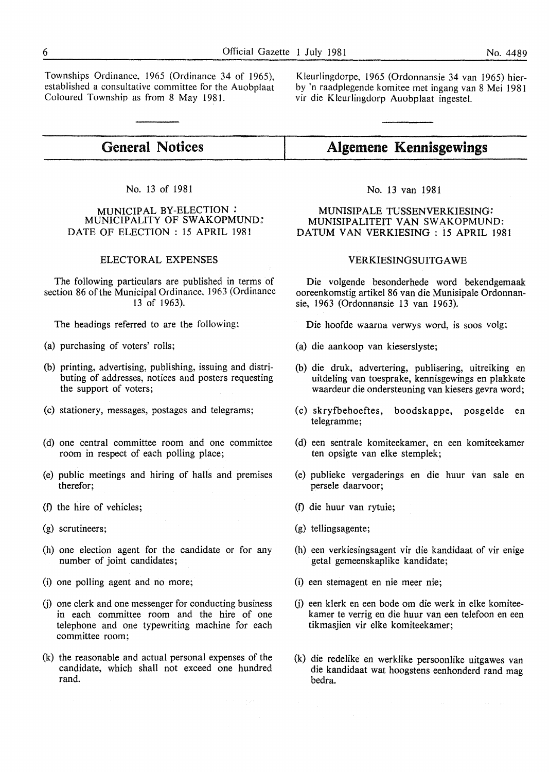Townships Ordinance, 1965 (Ordinance 34 of 1965), established a consultative committee for the Auobplaat Coloured Township as from 8 May 1981.

Kleurlingdorpe, 1965 (Ordonnansie 34 van 1965) bierby 'n raadplegende komitee met ingang van 8 Mei 1981 vir die Kleurlingdorp Auobplaat ingestel.

#### **General Notices Algemene Kennisgewings**

### No. 13 of 1981

#### MUNICIPAL BY-ELECTION *:*  MUNICIPALITY OF SWAKOPMUND: DATE OF ELECTION : 15 APRIL 1981

#### ELECTORAL EXPENSES

The following particulars are published in terms of section 86 of the Municipal Ordinance, 1963 (Ordinance 13 of 1963).

The headings referred to are the following;

- (a) purchasing of voters' rolls;
- (b) printing, advertising, publishing, issuing and distributing of addresses, notices and posters requesting the support of voters;
- (c) stationery, messages, postages and telegrams;
- (d) one central committee room and one committee room in respect of each polling place;
- (e) public meetings and hiring of halls and premises therefor;
- (f) the hire of vehicles;
- (g) scrutineers;
- (h) one election agent for the candidate or for any number of joint candidates;
- (i) one polling agent and no more;
- (i) one clerk and one messenger for conducting business in each committee room and the hire of one telephone and one typewriting machine for each committee room;
- (k) the reasonable and actual personal expenses of the candidate, which shall not exceed one hundred rand.

No. 13 van 1981

MUNISIPALE TUSSENVERKIESING: MUNISIPALITEIT VAN SWAKOPMUND: DATUM VAN VERKIESING : is APRIL 1981

### VERKIESINGSUITGA WE

Die volgende besonderhede word bekendgemaak ooreenkomstig artikel 86 van die Munisipale Ordonnansie, 1963 (Ordonnansie 13 van 1963).

Die hoofde waarna verwys word, is soos volg:

- (a) die aankoop van kieserslyste;
- (b) die druk, advertering, publisering, uitreiking en uitdeling van toesprake, kennisgewings en plakkate waardeur die ondersteuning van kiesers gevra word;
- (c) skryfbehoeftes, boodskappe, posgelde en telegramme;
- (d) een sentrale komiteekamer, en een komiteekamer ten opsigte van elke stemplek;
- (e) publieke vergaderings en die huur van sale en persele daarvoor;
- (f) die huur van rytuie;
- (g) tellingsagente;
- (h) een verkiesingsagent vir die kandidaat of vir enige getal gemeenskaplike kandidate;
- (i) een stemagent en nie meer nie;
- (i) een klerk en een bode om die werk in elke komiteekamer te verrig en die huur van een telefoon en een tikmasjien vir elke komiteekamer;
- (k) die redelike en werklike persoonlike uitgawes van die kandidaat wat hoogstens eenhonderd rand mag bedra.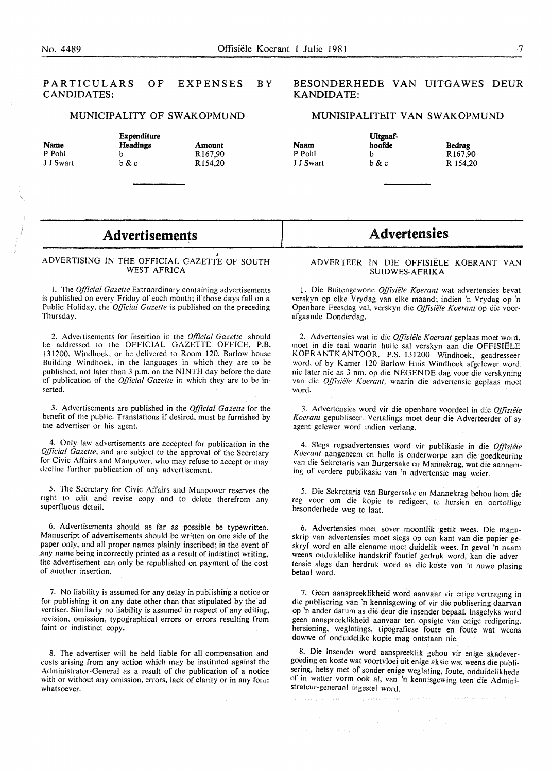#### PARTICULARS CANDIDATES: OF EXPENSES BY

#### MUNICIPALITY OF SWAKOPMUND

Amount Rl67,90 Rl54,20

|           | Expenditur       |  |
|-----------|------------------|--|
| Name      | <b>Headings</b>  |  |
| P Pohl    | h                |  |
| J J Swart | <u>b &amp; c</u> |  |

# Expenditure

#### BESONDERHEDE VAN UITGA WES DEUR KANDIDATE:

#### MUNISIPALITEIT VAN SWAKOPMUND

Uitgaafhoofde b b&c

| lam   |  |
|-------|--|
| Pohl  |  |
| Swart |  |

N. p<sub>1</sub>  $I$   $I$ 

| Bedrag   |
|----------|
| R167.90  |
| R 154.20 |

## Advertisements

#### ADVERTISING IN THE OFFICIAL GAZETTE OF SOUTH WEST AFRICA

I. The *Official Gazette* Extraordinary containing advertisements is published on every Friday of each month; if those days fall on a Public Holiday, the *Official Gazette* is published on the preceding Thursday.

2. Advertisements for insertion in the *Offlcial Gazette* should be addressed to the OFFICIAL GAZETTE OFFICE, P.B. 131200, Windhoek, or be delivered to Room 120, Barlow house Building Windhoek, in the languages in which they are to be published, not later than 3 p.m. on the NINTH day before the date of publication of the *Qlficial Gazette* in which they are to be inserted.

3. Advertisements are published in the *Official Gazette* for the benefit of the public. Translations if desired, must be furnished by the advertiser or his agent.

4. Only law advertisements are accepted for publication in the *Official Gazette,* and are subject to the approval of the Secretary for Civic Affairs and Manpower, who may refuse to accept or may decline further publication of any advertisement.

5. The Secretary for Civic Affairs and Manpower reserves the right to edit and revise copy and to delete therefrom any superfluous detail.

6. Advertisements should as far as possible be typewritten. Manuscript of advertisements should be written on one side of the paper only, and all proper names plainly inscribed; in the event of .any name being incorrectly printed as a result of indistinct writing, the advertisement can only be republished on payment of the cost of another insertion.

7. No liability is assumed for any delay in publishing a notice or for publishing it on any date other than that stipulated by the advertiser. Similarly no liability is assumed in respect of any editing, revision, omission, typographical errors or errors resulting from faint or indistinct copy.

8. The advertiser will be held liable for all compensation and costs arising from any action which may be instituted against the Administrator-General as a result of the publication of a notice with or without any omission, errors, lack of clarity or in any form; whatsoever.

## **Advertensies**

#### ADVERTEER IN DIE OFFISIELE KOERANT VAN SUIDWES-AFRIKA

1. Die Buitengewone *Offisiele Koerant* wat advertensies bevat verskyn op elke Vrydag van elke maand; indien 'n Vrydag op 'n Openbare Feesdag val, verskyn die *Offisiele Koerant* op die voorafgaande Donderdag.

2. Advertensies wat in die *Offisiiile Koerant* geplaas moet word, moet in die taal waarin hulle sal verskyn aan die OFFISIELE KOERANTKANTOOR, P.S. 131200 Windhoek, geadresseer word. of by Kamer 120 Barlow Huis Windhoek afgelewer word. nie later nie as 3 nm. op die NEGENDE dag voor die verskyning van die *Offisiële Koerant*, waarin die advertensie geplaas moet word.

3. Advertensies word vir die openbare voordeel in die *Offisiele*  Koerant gepubliseer. Vertalings moet deur die Adverteerder of sy agent gelewer word indien verlang.

4. Slegs regsadvertensies word vir publikasie in die *Offisiele K oerant* aangeneem en hulle is onderworpe aan die goedkeuring van die Sekretaris van Burgersake en Mannekrag, wat die aanneming of verdere publikasie van 'n advertensie mag weier.

5. Die Sekretaris van Burgersake en Mannekrag behou hom die reg voor om die kopie te redigeer, te hersien en oortollige besonderhede weg te laat.

6. Advertensies moet sover moontlik getik wees. Die manuskrip van advertensies moet slegs op een kant van die papier geskryf word en aile eiename moet duidelik wees. In geval 'n naam weens onduidelike handskrif foutief gedruk word, kan die advertensie slegs dan herdruk word as die koste van 'n nuwe plasing betaal word.

7. Geen aanspreeklikheid word aanvaar vir enige vertraging in die publisering van 'n kennisgewing of vir die publisering daarvan op 'n ander datum as die deur die insender bepaal. Insgelyks word geen aanspreeklikheid aanvaar ten opsigte van enige redigering. hersiening, weglatings, tipografiese foute en foute wat weens dowwe of onduidelike kopie mag ontstaan nie.

8. Die insender word aanspreeklik gehou vir enige skadevergoeding en koste wat voortvloei uit enige aksie wat weens die publisering, hetsy met of sonder enige weglating, foute, onduidelikhede of in watter vorm ook al, van 'n kennisgewing teen die Administrateur-generaal ingestel word.

namen i grunda galetjen de strede gegen med en ingenen med en stil mannen i Kri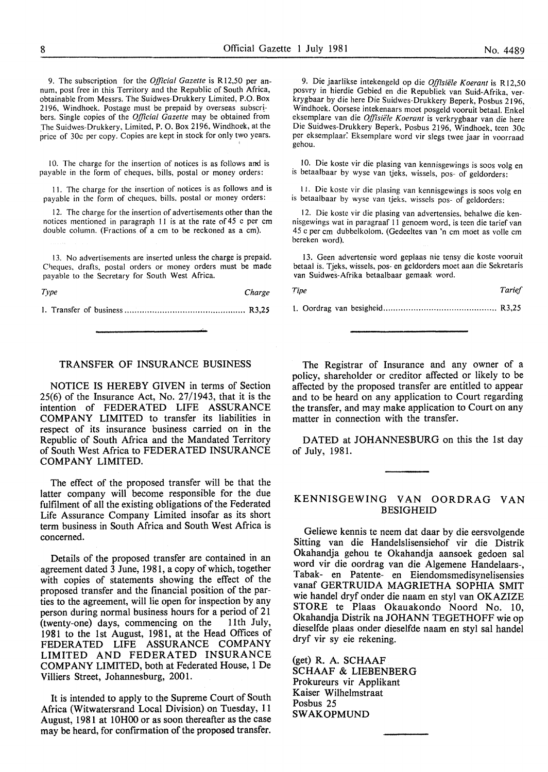9. The subscription for the *Official Gazette* is Rl2,50 per annum, post free in this Territory and the Republic of South Africa, obtainable from Messrs. The Suidwes-Drukkery Limited, P.O. Box 2196, Windhoek. Postage must be prepaid by overseas subscribers. Single copies of the *Official Gazette* may be obtained from The Suidwes-Drukkery, Limited, P. O. Box 2196, Windhoek, at the price of 30c per copy. Copies are kept in stock for only two years.

10. The charge for the insertion of notices is as follows and is payable in the form of cheques, bills, postal or money orders:

I I. The charge for the insertion of notices is as follows and is payable in the form of cheques. bills, postal or money orders:

12. The charge for the insertion of advertisements other than the notices mentioned in paragraph II is at the rate of 45 c per em double column. (Fractions of a em to be reckoned as a em).

13. No advertisements are inserted unless the charge is prepaid. Cheques, drafts, postal orders or money orders must be made payable to the Secretary for South West Africa.

*Type Charge* 

I. Transfer of business ................................................ R3,25

#### 9. Die jaarlikse intekengeld op die *Offisiiile Koerant* is Rl2,50 posvry in hierdie Gebied en die Republiek van Suid-Afrika, verkrygbaar by die here Die Suidwes-Drukkery Beperk, Posbus 2196, Windhoek. Oorsese intekenaars moet posgeld vooruit betaal. Enkel eksemplare van die *Offisiiile Koerant* is verkrygbaar van die here Die Suidwes-Drukkery Beperk, Posbus 2196, Windhoek, teen 30c per eksemplaar: Eksemplare word vir slegs twee jaar in voorraad gehou.

10. Die koste vir die plasing van kennisgewings is soos volg en is betaalbaar by wyse van tjeks. wissels, pos- of geldorders:

I J. Die koste vir die plasing van kennisgewings is soos volg en is betaalbaar by wyse van tjeks, wissels pos- of geldorders:

12. Die koste vir die plasing van advertensies, behalwe die kennisgewings wat in paragraaf II genoem word, is teen die tarief van 45 c per em dubbelkolom. (Gedeeltes van 'n em moet as volle em bereken word).

13. Geen advertensie word geplaas nie tensy die koste vooruit betaal is. Tjeks, wissels, pos- en geldorders moet aan die Sekretaris van Suidwes-Afrika betaalbaar gemaak word.

L Oordrag van besigheid ............................................. R3,25

#### TRANSFER OF INSURANCE BUSINESS

NOTICE IS HEREBY GIVEN in terms of Section 25(6) of the Insurance Act, No. 27/1943, that it is the intention of FEDERATED LIFE ASSURANCE COMPANY LIMITED to transfer its liabilities in respect of its insurance business carried on in the Republic of South Africa and the Mandated Territory of South West Africa to FEDERATED INSURANCE COMPANY LIMITED.

The effect of the proposed transfer will be that the latter company will become responsible for the due fulfilment of all the existing obligations of the Federated Life Assurance Company Limited insofar as its short term business in South Africa and South West Africa is concerned.

Details of the proposed transfer are contained in an agreement dated 3 June, 1981, a copy of which, together with copies of statements showing the effect of the proposed transfer and the financial position of the parties to the agreement, will lie open for inspection by any person during normal business hours for a period of 21 (twenty-one) days, commencing on the 11th July, 1981 to the 1st August, 1981, at the Head Offices of FEDERATED LIFE ASSURANCE COMPANY LIMITED AND FEDERATED INSURANCE COMPANY LIMITED, both at Federated House, 1 De Villiers Street, Johannesburg, 2001.

It is intended to apply to the Supreme Court of South Africa (Witwatersrand Local Division) on Tuesday, 11 August, 1981 at 10H00 or as soon thereafter as the case may be heard, for confirmation of the proposed transfer.

The Registrar of Insurance and any owner of a policy, shareholder or creditor affected or likely to be affected by the proposed transfer are entitled to appear and to be heard on any application to Court regarding the transfer, and may make application to Court on any matter in connection with the transfer.

DATED at JOHANNESBURG on this the 1st day of July, 1981.

#### KENNISGEWING VAN OORDRAG VAN BESIGHEID

Geliewe kennis te neem dat daar by die eersvolgende Sitting van die Handelslisensiehof vir die Distrik Okahandja gehou te Okahandja aansoek gedoen sal word vir die oordrag van die Algemene Handelaars-, Tabak- en Patente- en Eiendomsmedisynelisensies vanaf GERTRUIDA MAGRIETHA SOPHIA SMIT wie handel dryf onder die naam en sty! van OKAZIZE STORE te Plaas Okauakondo Noord No. 10, Okahandja Distrik na JOHANN TEGETHOFF wie op dieselfde plaas onder dieselfde naam en styl sal handel dryf vir sy eie rekening.

(get) R. A. SCHAAF SCHAAF & LIEBENBERG Prokureurs vir Applikant Kaiser Wilhelmstraat Posbus 25 SWAKOPMUND

*Tipe Tarief*